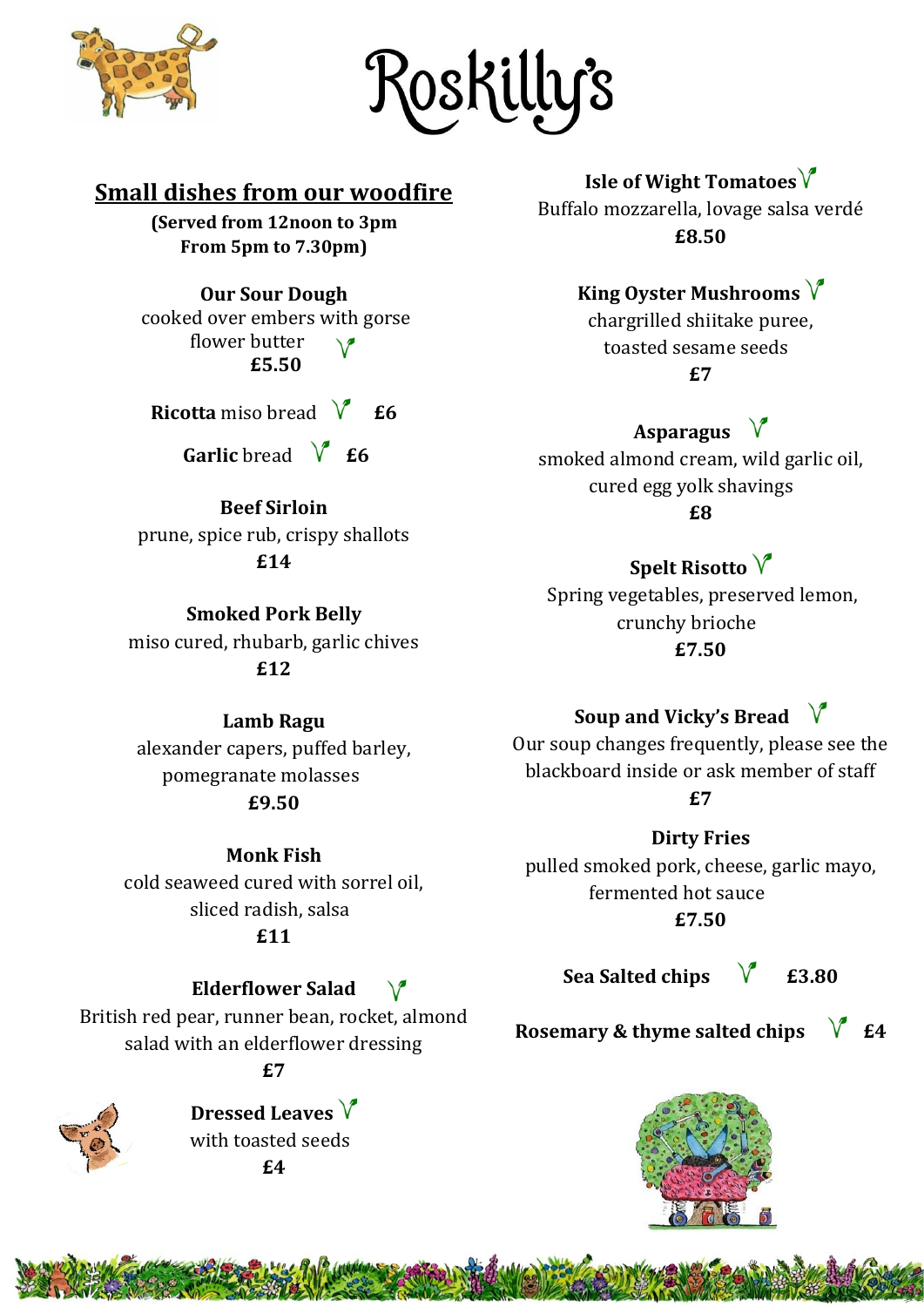

{osKilly's

#### **Small dishes from our woodfire**

**(Served from 12noon to 3pm From 5pm to 7.30pm)**

**Our Sour Dough**

cooked over embers with gorse flower butter **£5.50**

**Ricotta** miso bread  $\sqrt{6}$  **£6** 

**Garlic** bread  $\sqrt{\ }$  **£6** 

#### **Beef Sirloin**

prune, spice rub, crispy shallots **£14**

**Smoked Pork Belly** miso cured, rhubarb, garlic chives **£12**

#### **Lamb Ragu**

alexander capers, puffed barley, pomegranate molasses **£9.50**

**Monk Fish** cold seaweed cured with sorrel oil, sliced radish, salsa **£11**

#### **Elderflower Salad**

 $\sqrt{ }$ 

British red pear, runner bean, rocket, almond salad with an elderflower dressing

#### **£7**

**Dressed Leaves**  with toasted seeds **£4**

**Isle of Wight Tomatoes**

Buffalo mozzarella, lovage salsa verdé **£8.50**

#### **King Oyster Mushrooms**

chargrilled shiitake puree, toasted sesame seeds **£7**

#### **Asparagus**

smoked almond cream, wild garlic oil, cured egg yolk shavings **£8**

#### **Spelt Risotto**

Spring vegetables, preserved lemon, crunchy brioche **£7.50**

#### **Soup and Vicky's Bread**

Our soup changes frequently, please see the blackboard inside or ask member of staff **£7**

**Dirty Fries**  pulled smoked pork, cheese, garlic mayo, fermented hot sauce **£7.50**

Sea Salted chips  $\sqrt{\phantom{a}}$  £3.80

**Rosemary & thyme salted chips**  $\sqrt{\ }$  **£4**